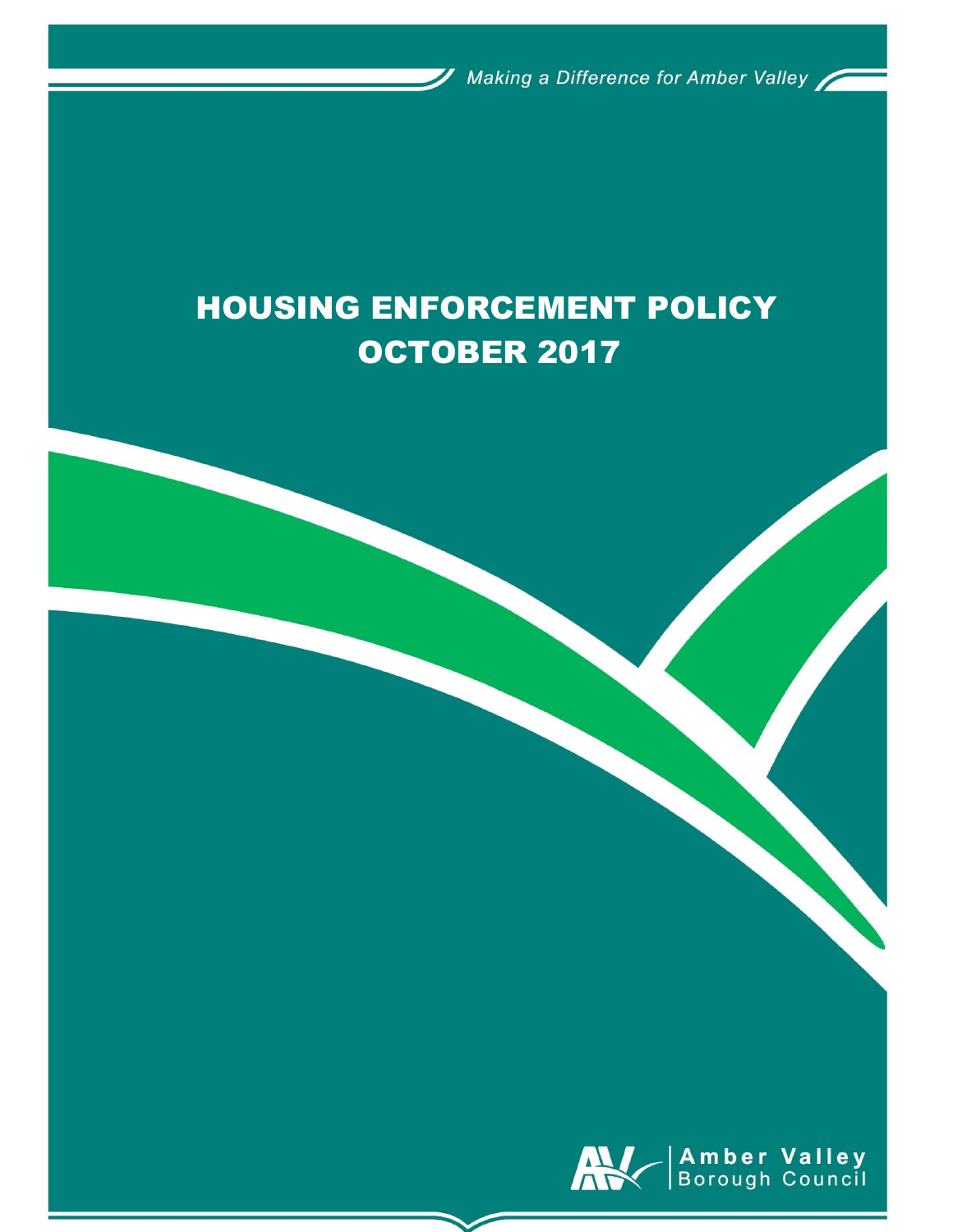Making a Difference for Amber Valley

# HOUSING ENFORCEMENT POLICY OCTOBER 2017

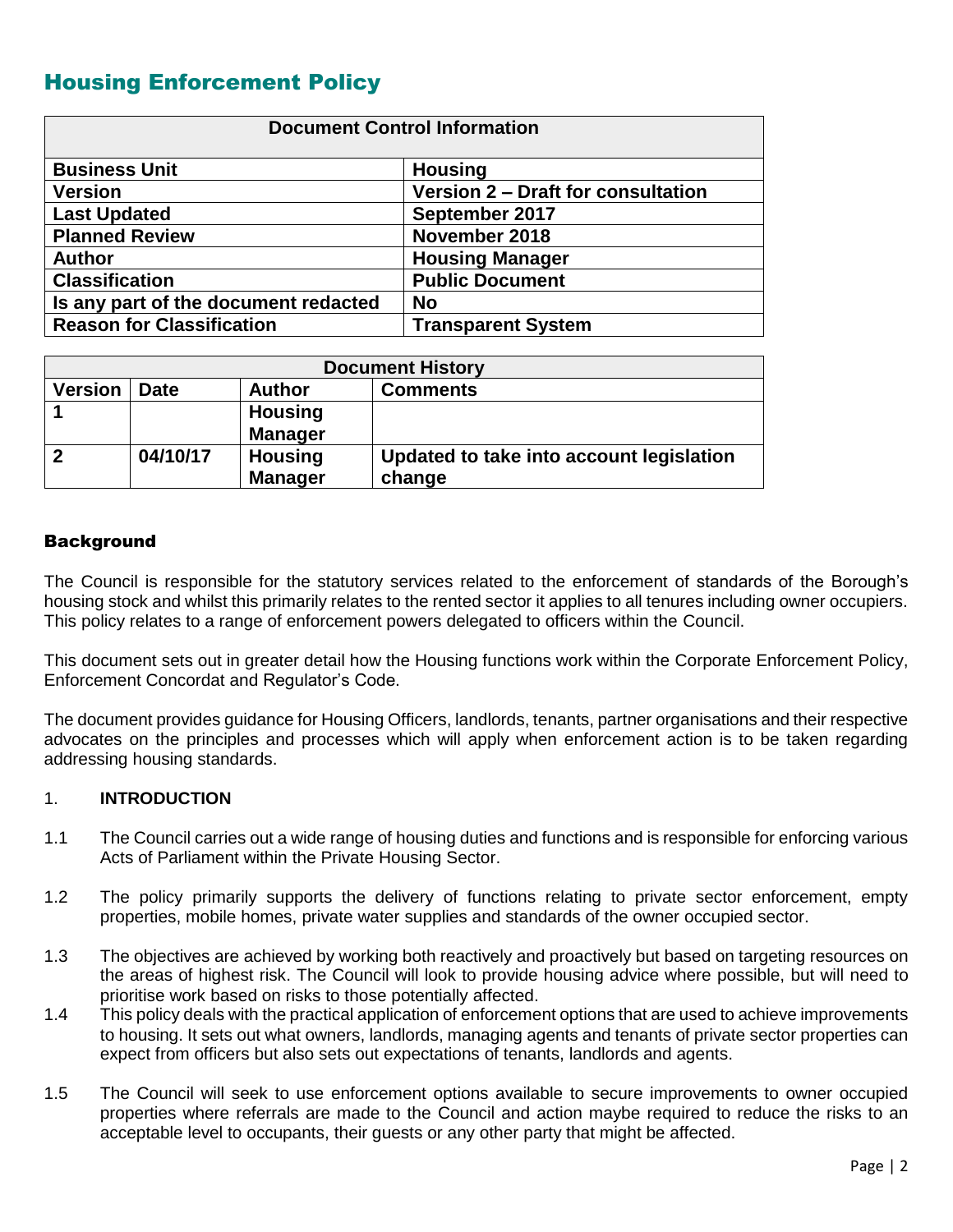# Housing Enforcement Policy

| <b>Document Control Information</b>  |                                    |  |
|--------------------------------------|------------------------------------|--|
| <b>Business Unit</b>                 | <b>Housing</b>                     |  |
| <b>Version</b>                       | Version 2 - Draft for consultation |  |
| <b>Last Updated</b>                  | September 2017                     |  |
| <b>Planned Review</b>                | November 2018                      |  |
| <b>Author</b>                        | <b>Housing Manager</b>             |  |
| <b>Classification</b>                | <b>Public Document</b>             |  |
| Is any part of the document redacted | <b>No</b>                          |  |
| <b>Reason for Classification</b>     | <b>Transparent System</b>          |  |

| <b>Document History</b> |             |                |                                          |
|-------------------------|-------------|----------------|------------------------------------------|
| <b>Version</b>          | <b>Date</b> | <b>Author</b>  | <b>Comments</b>                          |
|                         |             | <b>Housing</b> |                                          |
|                         |             | <b>Manager</b> |                                          |
|                         | 04/10/17    | <b>Housing</b> | Updated to take into account legislation |
|                         |             | <b>Manager</b> | change                                   |

## **Background**

The Council is responsible for the statutory services related to the enforcement of standards of the Borough's housing stock and whilst this primarily relates to the rented sector it applies to all tenures including owner occupiers. This policy relates to a range of enforcement powers delegated to officers within the Council.

This document sets out in greater detail how the Housing functions work within the Corporate Enforcement Policy, Enforcement Concordat and Regulator's Code.

The document provides guidance for Housing Officers, landlords, tenants, partner organisations and their respective advocates on the principles and processes which will apply when enforcement action is to be taken regarding addressing housing standards.

## 1. **INTRODUCTION**

- 1.1 The Council carries out a wide range of housing duties and functions and is responsible for enforcing various Acts of Parliament within the Private Housing Sector.
- 1.2 The policy primarily supports the delivery of functions relating to private sector enforcement, empty properties, mobile homes, private water supplies and standards of the owner occupied sector.
- 1.3 The objectives are achieved by working both reactively and proactively but based on targeting resources on the areas of highest risk. The Council will look to provide housing advice where possible, but will need to prioritise work based on risks to those potentially affected.
- 1.4 This policy deals with the practical application of enforcement options that are used to achieve improvements to housing. It sets out what owners, landlords, managing agents and tenants of private sector properties can expect from officers but also sets out expectations of tenants, landlords and agents.
- 1.5 The Council will seek to use enforcement options available to secure improvements to owner occupied properties where referrals are made to the Council and action maybe required to reduce the risks to an acceptable level to occupants, their guests or any other party that might be affected.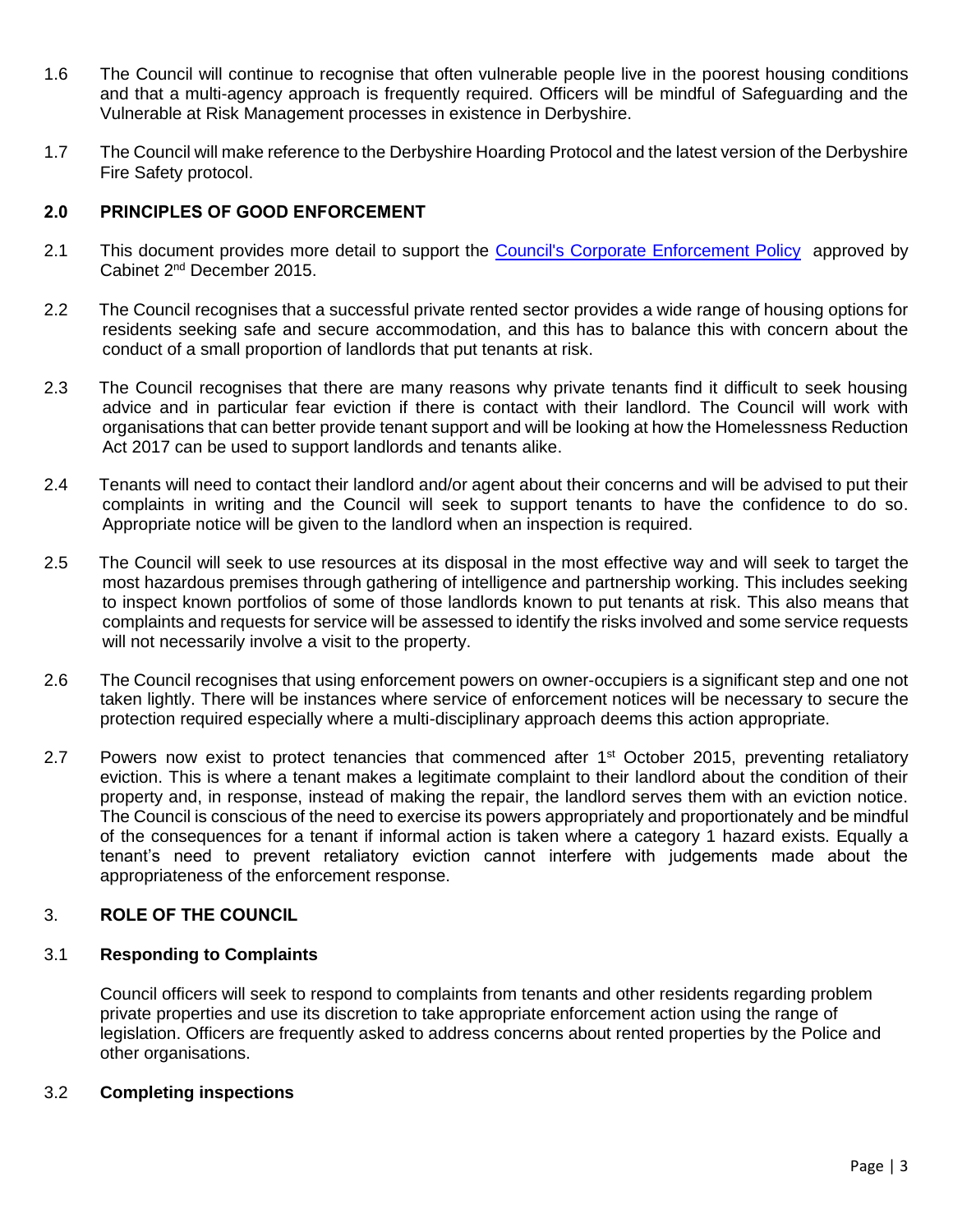- 1.6 The Council will continue to recognise that often vulnerable people live in the poorest housing conditions and that a multi-agency approach is frequently required. Officers will be mindful of Safeguarding and the Vulnerable at Risk Management processes in existence in Derbyshire.
- 1.7 The Council will make reference to the Derbyshire Hoarding Protocol and the latest version of the Derbyshire Fire Safety protocol.

## 2.0 PRINCIPLES OF GOOD ENFORCEMENT

- 2.1 This document provides more detail to support the [Council's Corporate Enforcement Policy](http://info.ambervalley.gov.uk/docarc/docviewer.aspx?docGuid=e6b573d838784810a88ffd1bcded8a8a) approved by Cabinet 2nd December 2015.
- 2.2 The Council recognises that a successful private rented sector provides a wide range of housing options for residents seeking safe and secure accommodation, and this has to balance this with concern about the conduct of a small proportion of landlords that put tenants at risk.
- 2.3 The Council recognises that there are many reasons why private tenants find it difficult to seek housing advice and in particular fear eviction if there is contact with their landlord. The Council will work with organisations that can better provide tenant support and will be looking at how the Homelessness Reduction Act 2017 can be used to support landlords and tenants alike.
- 2.4 Tenants will need to contact their landlord and/or agent about their concerns and will be advised to put their complaints in writing and the Council will seek to support tenants to have the confidence to do so. Appropriate notice will be given to the landlord when an inspection is required.
- 2.5 The Council will seek to use resources at its disposal in the most effective way and will seek to target the most hazardous premises through gathering of intelligence and partnership working. This includes seeking to inspect known portfolios of some of those landlords known to put tenants at risk. This also means that complaints and requests for service will be assessed to identify the risks involved and some service requests will not necessarily involve a visit to the property.
- 2.6 The Council recognises that using enforcement powers on owner-occupiers is a significant step and one not taken lightly. There will be instances where service of enforcement notices will be necessary to secure the protection required especially where a multi-disciplinary approach deems this action appropriate.
- 2.7 Powers now exist to protect tenancies that commenced after 1<sup>st</sup> October 2015, preventing retaliatory eviction. This is where a tenant makes a legitimate complaint to their landlord about the condition of their property and, in response, instead of making the repair, the landlord serves them with an eviction notice. The Council is conscious of the need to exercise its powers appropriately and proportionately and be mindful of the consequences for a tenant if informal action is taken where a category 1 hazard exists. Equally a tenant's need to prevent retaliatory eviction cannot interfere with judgements made about the appropriateness of the enforcement response.

## 3. ROLE OF THE COUNCIL

## 3.1 **Responding to Complaints**

Council officers will seek to respond to complaints from tenants and other residents regarding problem private properties and use its discretion to take appropriate enforcement action using the range of legislation. Officers are frequently asked to address concerns about rented properties by the Police and other organisations.

## 3.2 **Completing inspections**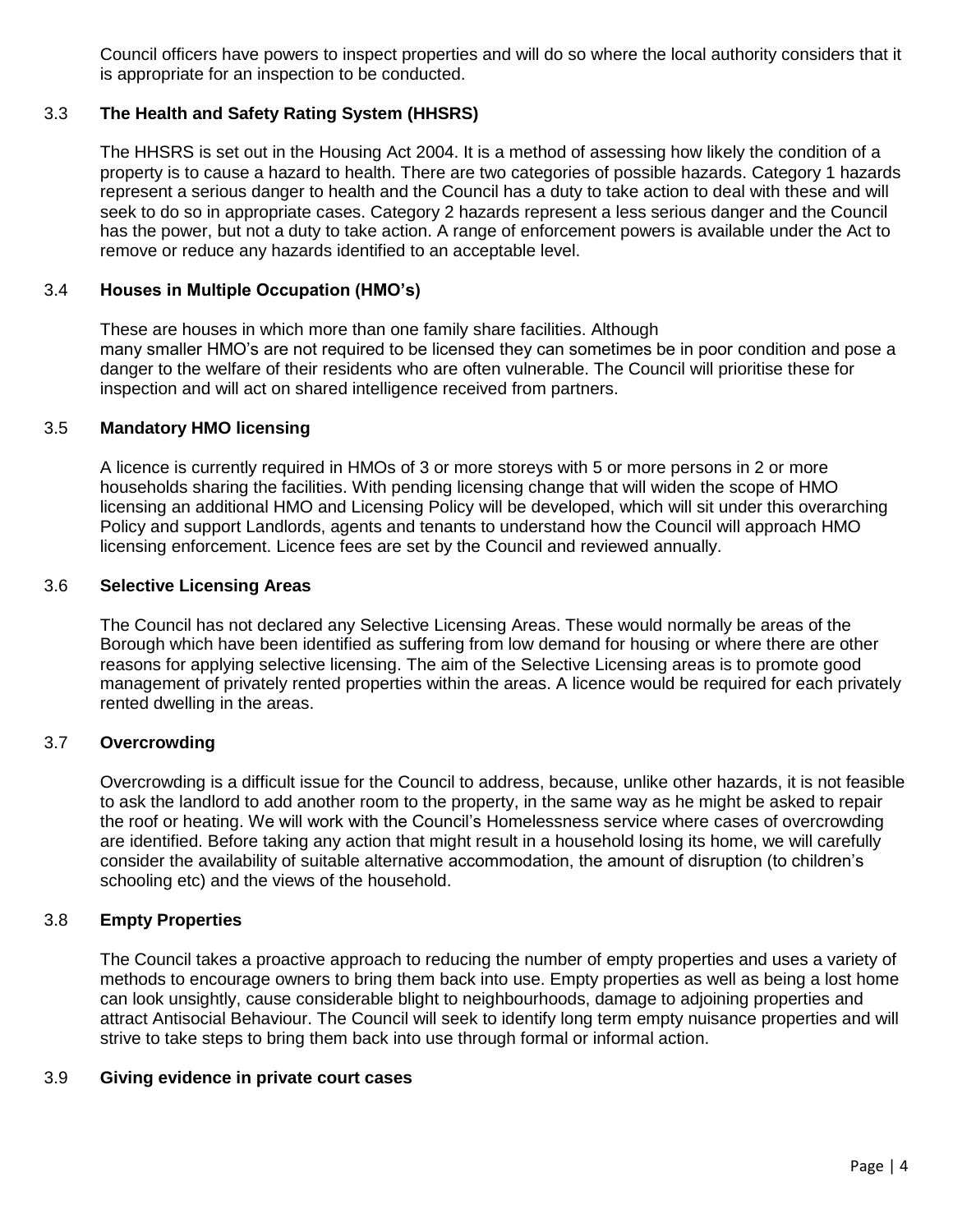Council officers have powers to inspect properties and will do so where the local authority considers that it is appropriate for an inspection to be conducted.

## 3.3 **The Health and Safety Rating System (HHSRS)**

The HHSRS is set out in the Housing Act 2004. It is a method of assessing how likely the condition of a property is to cause a hazard to health. There are two categories of possible hazards. Category 1 hazards represent a serious danger to health and the Council has a duty to take action to deal with these and will seek to do so in appropriate cases. Category 2 hazards represent a less serious danger and the Council has the power, but not a duty to take action. A range of enforcement powers is available under the Act to remove or reduce any hazards identified to an acceptable level.

## 3.4 **Houses in Multiple Occupation (HMO's)**

These are houses in which more than one family share facilities. Although many smaller HMO's are not required to be licensed they can sometimes be in poor condition and pose a danger to the welfare of their residents who are often vulnerable. The Council will prioritise these for inspection and will act on shared intelligence received from partners.

## 3.5 **Mandatory HMO licensing**

A licence is currently required in HMOs of 3 or more storeys with 5 or more persons in 2 or more households sharing the facilities. With pending licensing change that will widen the scope of HMO licensing an additional HMO and Licensing Policy will be developed, which will sit under this overarching Policy and support Landlords, agents and tenants to understand how the Council will approach HMO licensing enforcement. Licence fees are set by the Council and reviewed annually.

## 3.6 **Selective Licensing Areas**

The Council has not declared any Selective Licensing Areas. These would normally be areas of the Borough which have been identified as suffering from low demand for housing or where there are other reasons for applying selective licensing. The aim of the Selective Licensing areas is to promote good management of privately rented properties within the areas. A licence would be required for each privately rented dwelling in the areas.

## 3.7 **Overcrowding**

Overcrowding is a difficult issue for the Council to address, because, unlike other hazards, it is not feasible to ask the landlord to add another room to the property, in the same way as he might be asked to repair the roof or heating. We will work with the Council's Homelessness service where cases of overcrowding are identified. Before taking any action that might result in a household losing its home, we will carefully consider the availability of suitable alternative accommodation, the amount of disruption (to children's schooling etc) and the views of the household.

## 3.8 **Empty Properties**

The Council takes a proactive approach to reducing the number of empty properties and uses a variety of methods to encourage owners to bring them back into use. Empty properties as well as being a lost home can look unsightly, cause considerable blight to neighbourhoods, damage to adjoining properties and attract Antisocial Behaviour. The Council will seek to identify long term empty nuisance properties and will strive to take steps to bring them back into use through formal or informal action.

## 3.9 **Giving evidence in private court cases**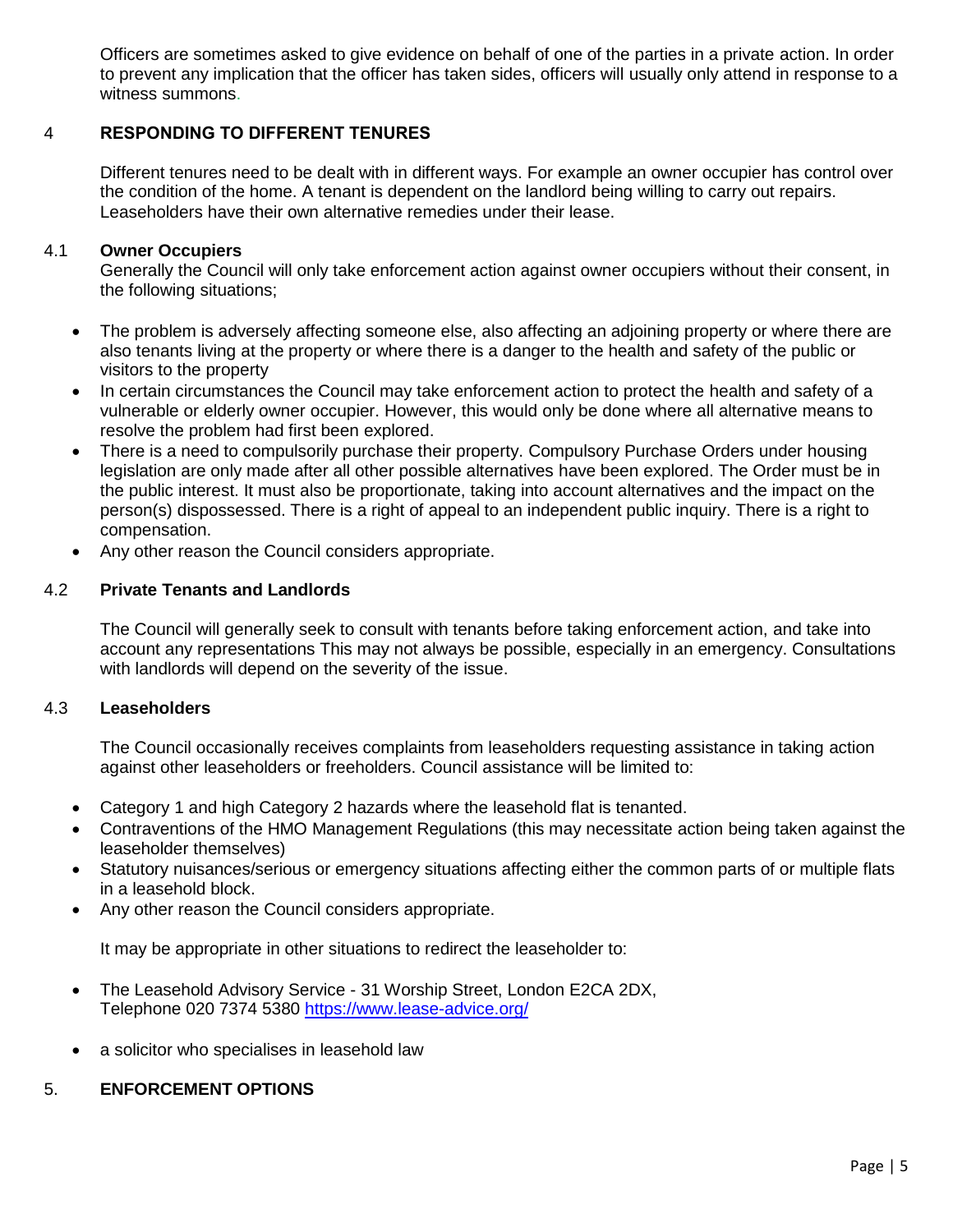Officers are sometimes asked to give evidence on behalf of one of the parties in a private action. In order to prevent any implication that the officer has taken sides, officers will usually only attend in response to a witness summons.

## 4 RESPONDING TO DIFFERENT TENURES

Different tenures need to be dealt with in different ways. For example an owner occupier has control over the condition of the home. A tenant is dependent on the landlord being willing to carry out repairs. Leaseholders have their own alternative remedies under their lease.

## 4.1 **Owner Occupiers**

Generally the Council will only take enforcement action against owner occupiers without their consent, in the following situations;

- The problem is adversely affecting someone else, also affecting an adjoining property or where there are also tenants living at the property or where there is a danger to the health and safety of the public or visitors to the property
- In certain circumstances the Council may take enforcement action to protect the health and safety of a vulnerable or elderly owner occupier. However, this would only be done where all alternative means to resolve the problem had first been explored.
- There is a need to compulsorily purchase their property. Compulsory Purchase Orders under housing legislation are only made after all other possible alternatives have been explored. The Order must be in the public interest. It must also be proportionate, taking into account alternatives and the impact on the person(s) dispossessed. There is a right of appeal to an independent public inquiry. There is a right to compensation.
- Any other reason the Council considers appropriate.

#### 4.2 **Private Tenants and Landlords**

The Council will generally seek to consult with tenants before taking enforcement action, and take into account any representations This may not always be possible, especially in an emergency. Consultations with landlords will depend on the severity of the issue.

#### 4.3 **Leaseholders**

The Council occasionally receives complaints from leaseholders requesting assistance in taking action against other leaseholders or freeholders. Council assistance will be limited to:

- Category 1 and high Category 2 hazards where the leasehold flat is tenanted.
- Contraventions of the HMO Management Regulations (this may necessitate action being taken against the leaseholder themselves)
- Statutory nuisances/serious or emergency situations affecting either the common parts of or multiple flats in a leasehold block.
- Any other reason the Council considers appropriate.

It may be appropriate in other situations to redirect the leaseholder to:

- The Leasehold Advisory Service 31 Worship Street, London E2CA 2DX, Telephone 020 7374 5380<https://www.lease-advice.org/>
- a solicitor who specialises in leasehold law

## 5. **ENFORCEMENT OPTIONS**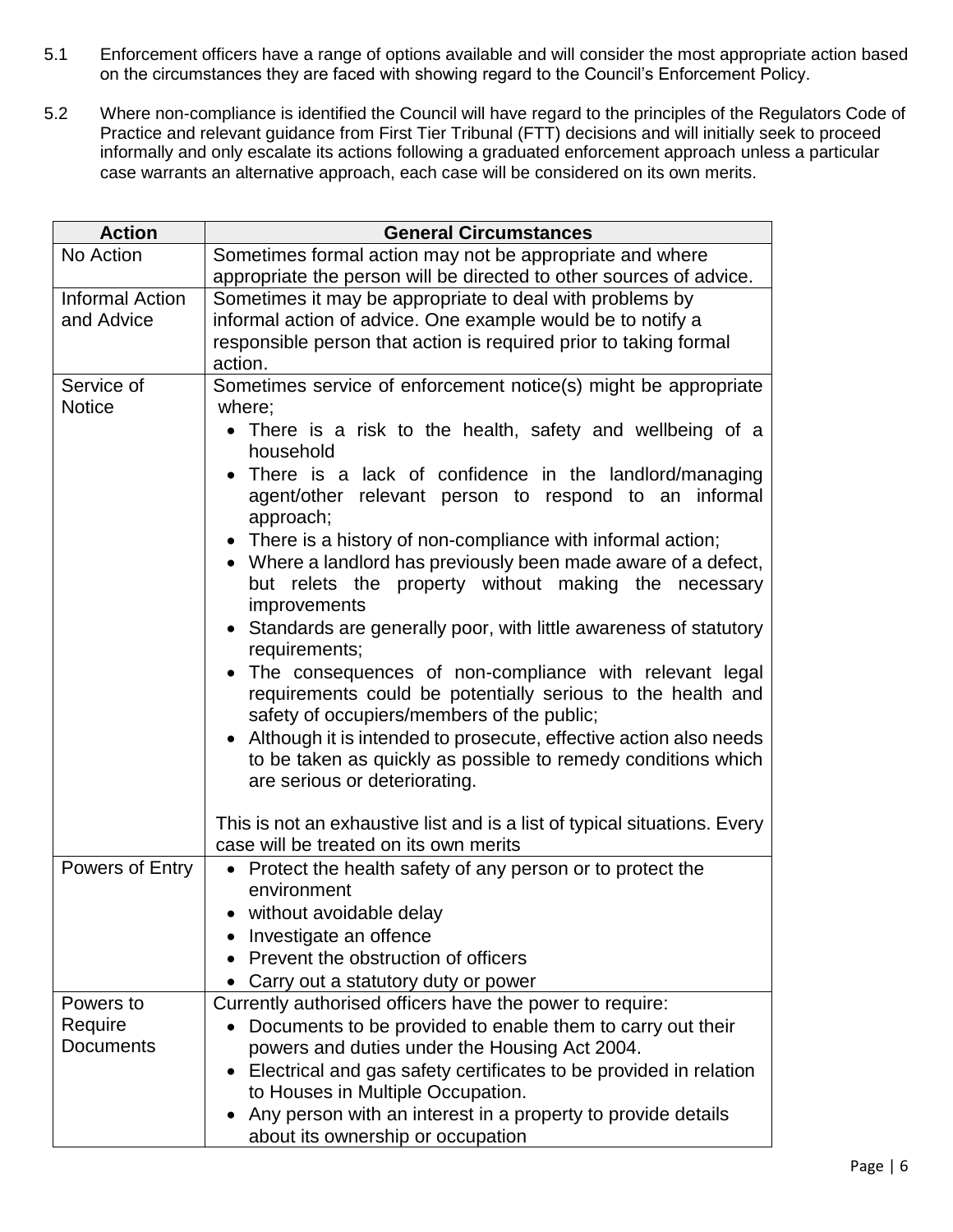- 5.1 Enforcement officers have a range of options available and will consider the most appropriate action based on the circumstances they are faced with showing regard to the Council's Enforcement Policy.
- 5.2 Where non-compliance is identified the Council will have regard to the principles of the Regulators Code of Practice and relevant guidance from First Tier Tribunal (FTT) decisions and will initially seek to proceed informally and only escalate its actions following a graduated enforcement approach unless a particular case warrants an alternative approach, each case will be considered on its own merits.

| <b>Action</b>                        | <b>General Circumstances</b>                                                                                                                                                                                                                                                                                                                 |  |
|--------------------------------------|----------------------------------------------------------------------------------------------------------------------------------------------------------------------------------------------------------------------------------------------------------------------------------------------------------------------------------------------|--|
| No Action                            | Sometimes formal action may not be appropriate and where                                                                                                                                                                                                                                                                                     |  |
|                                      | appropriate the person will be directed to other sources of advice.                                                                                                                                                                                                                                                                          |  |
| <b>Informal Action</b><br>and Advice | Sometimes it may be appropriate to deal with problems by<br>informal action of advice. One example would be to notify a<br>responsible person that action is required prior to taking formal                                                                                                                                                 |  |
|                                      | action.                                                                                                                                                                                                                                                                                                                                      |  |
| Service of<br><b>Notice</b>          | Sometimes service of enforcement notice(s) might be appropriate<br>where;<br>There is a risk to the health, safety and wellbeing of a                                                                                                                                                                                                        |  |
|                                      | household<br>There is a lack of confidence in the landlord/managing<br>agent/other relevant person to respond to an informal<br>approach;                                                                                                                                                                                                    |  |
|                                      | • There is a history of non-compliance with informal action;<br>• Where a landlord has previously been made aware of a defect,<br>but relets the property without making the necessary<br>improvements                                                                                                                                       |  |
|                                      | • Standards are generally poor, with little awareness of statutory<br>requirements;                                                                                                                                                                                                                                                          |  |
|                                      | The consequences of non-compliance with relevant legal<br>requirements could be potentially serious to the health and<br>safety of occupiers/members of the public;<br>• Although it is intended to prosecute, effective action also needs<br>to be taken as quickly as possible to remedy conditions which<br>are serious or deteriorating. |  |
|                                      | This is not an exhaustive list and is a list of typical situations. Every<br>case will be treated on its own merits                                                                                                                                                                                                                          |  |
| Powers of Entry                      | • Protect the health safety of any person or to protect the<br>environment                                                                                                                                                                                                                                                                   |  |
|                                      | • without avoidable delay                                                                                                                                                                                                                                                                                                                    |  |
|                                      | Investigate an offence                                                                                                                                                                                                                                                                                                                       |  |
|                                      | Prevent the obstruction of officers                                                                                                                                                                                                                                                                                                          |  |
|                                      | Carry out a statutory duty or power                                                                                                                                                                                                                                                                                                          |  |
| Powers to                            | Currently authorised officers have the power to require:                                                                                                                                                                                                                                                                                     |  |
| Require                              | Documents to be provided to enable them to carry out their                                                                                                                                                                                                                                                                                   |  |
| <b>Documents</b>                     | powers and duties under the Housing Act 2004.                                                                                                                                                                                                                                                                                                |  |
|                                      | Electrical and gas safety certificates to be provided in relation<br>to Houses in Multiple Occupation.                                                                                                                                                                                                                                       |  |
|                                      | Any person with an interest in a property to provide details<br>about its ownership or occupation                                                                                                                                                                                                                                            |  |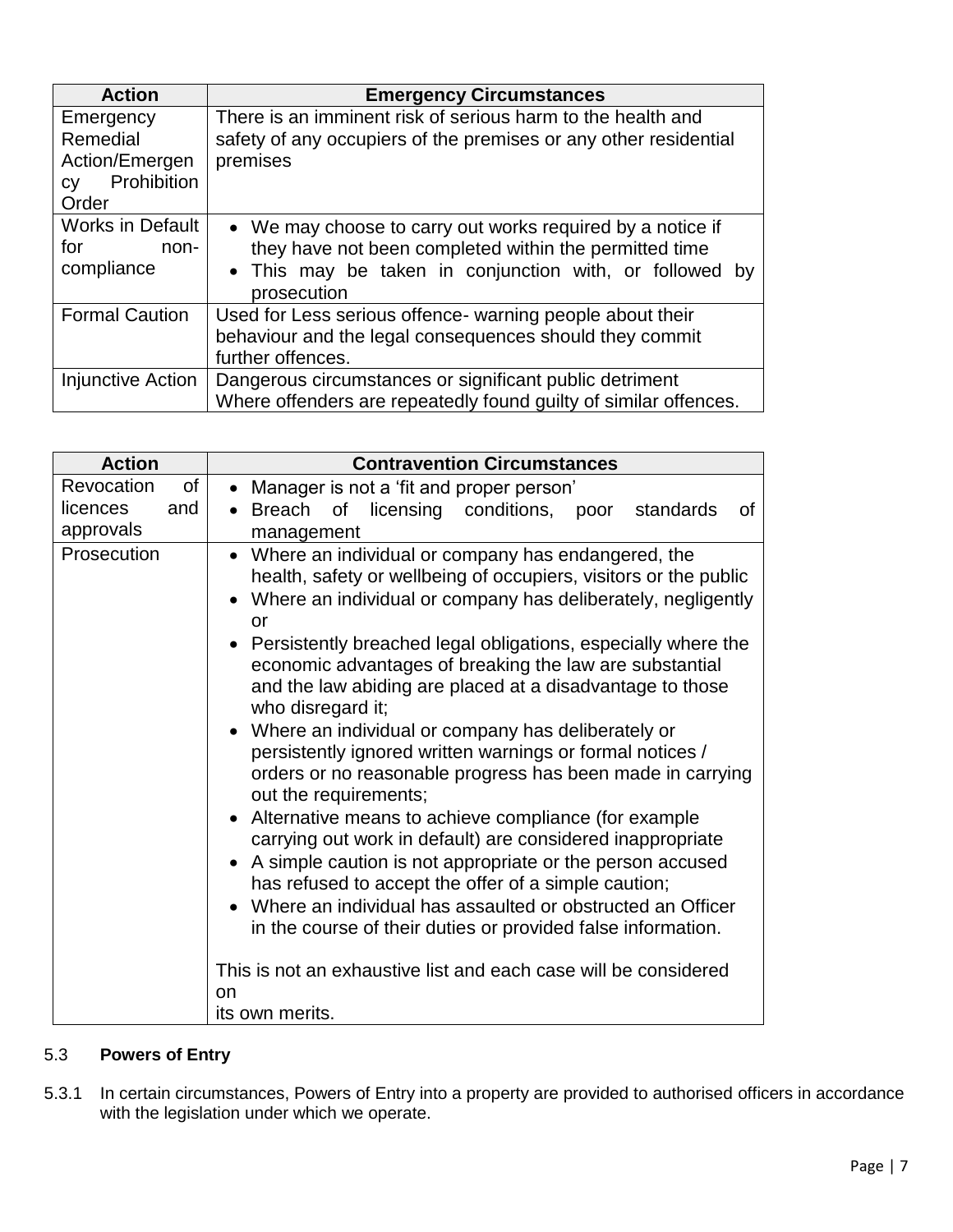| <b>Action</b>                                                                | <b>Emergency Circumstances</b>                                                                                                                                                                 |
|------------------------------------------------------------------------------|------------------------------------------------------------------------------------------------------------------------------------------------------------------------------------------------|
| Emergency<br>Remedial<br>Action/Emergen<br>Prohibition<br><b>CV</b><br>Order | There is an imminent risk of serious harm to the health and<br>safety of any occupiers of the premises or any other residential<br>premises                                                    |
| <b>Works in Default</b><br>for<br>non-<br>compliance                         | • We may choose to carry out works required by a notice if<br>they have not been completed within the permitted time<br>• This may be taken in conjunction with, or followed by<br>prosecution |
| <b>Formal Caution</b>                                                        | Used for Less serious offence- warning people about their<br>behaviour and the legal consequences should they commit<br>further offences.                                                      |
| Injunctive Action                                                            | Dangerous circumstances or significant public detriment<br>Where offenders are repeatedly found guilty of similar offences.                                                                    |

| <b>Action</b>                                    | <b>Contravention Circumstances</b>                                                                                                                                                                                                                                                                                                                                                                                                                                                                                                                                                                                                                                                                                                                                                                                                                                                                                                                                                                                                                                                        |
|--------------------------------------------------|-------------------------------------------------------------------------------------------------------------------------------------------------------------------------------------------------------------------------------------------------------------------------------------------------------------------------------------------------------------------------------------------------------------------------------------------------------------------------------------------------------------------------------------------------------------------------------------------------------------------------------------------------------------------------------------------------------------------------------------------------------------------------------------------------------------------------------------------------------------------------------------------------------------------------------------------------------------------------------------------------------------------------------------------------------------------------------------------|
| Revocation<br>of<br>and<br>licences<br>approvals | • Manager is not a 'fit and proper person'<br>• Breach of licensing conditions,<br>poor<br>standards<br>οf<br>management                                                                                                                                                                                                                                                                                                                                                                                                                                                                                                                                                                                                                                                                                                                                                                                                                                                                                                                                                                  |
| Prosecution                                      | Where an individual or company has endangered, the<br>health, safety or wellbeing of occupiers, visitors or the public<br>Where an individual or company has deliberately, negligently<br>or<br>Persistently breached legal obligations, especially where the<br>economic advantages of breaking the law are substantial<br>and the law abiding are placed at a disadvantage to those<br>who disregard it;<br>Where an individual or company has deliberately or<br>persistently ignored written warnings or formal notices /<br>orders or no reasonable progress has been made in carrying<br>out the requirements;<br>Alternative means to achieve compliance (for example<br>carrying out work in default) are considered inappropriate<br>A simple caution is not appropriate or the person accused<br>has refused to accept the offer of a simple caution;<br>Where an individual has assaulted or obstructed an Officer<br>in the course of their duties or provided false information.<br>This is not an exhaustive list and each case will be considered<br>on<br>its own merits. |

## 5.3 **Powers of Entry**

5.3.1 In certain circumstances, Powers of Entry into a property are provided to authorised officers in accordance with the legislation under which we operate.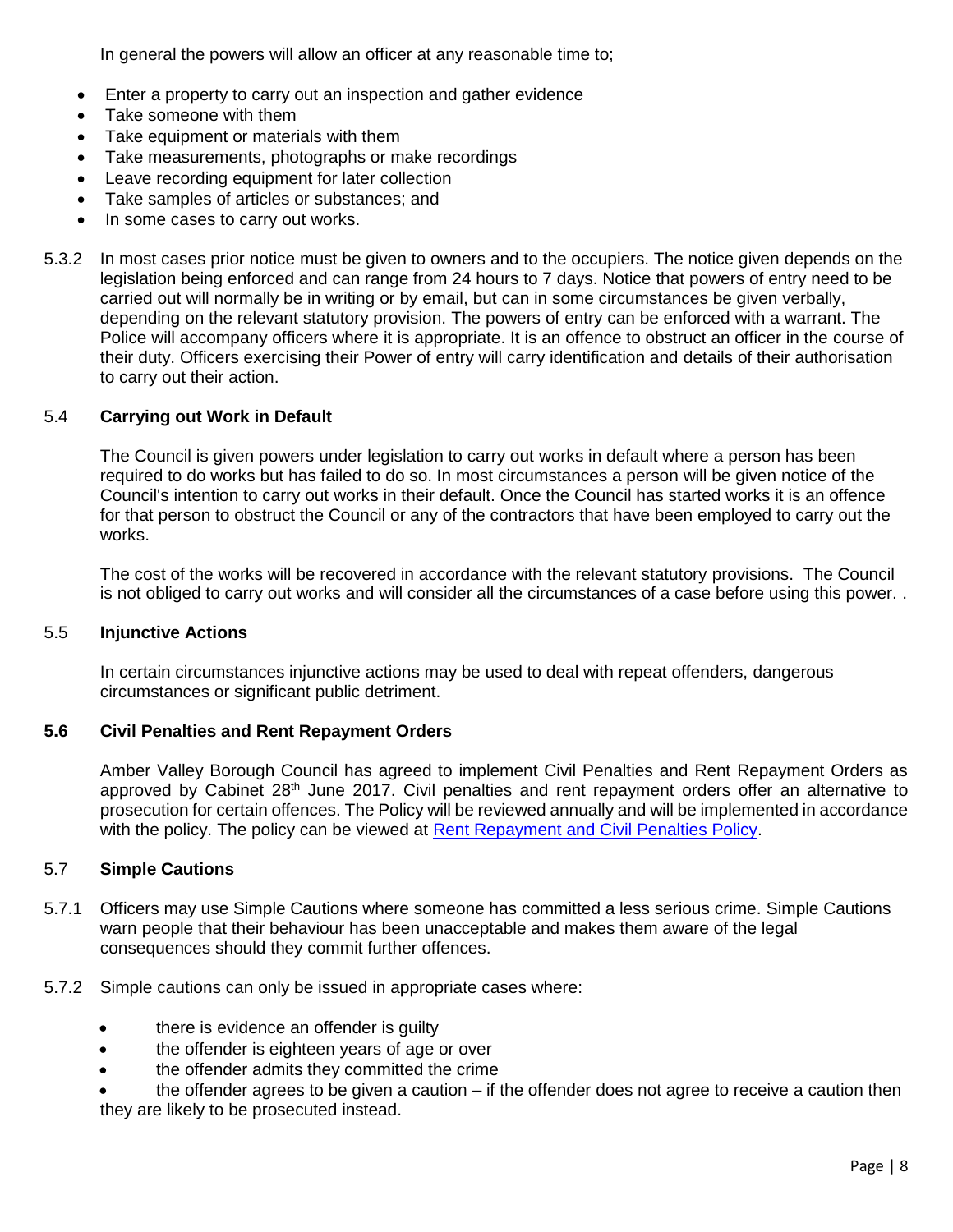In general the powers will allow an officer at any reasonable time to;

- Enter a property to carry out an inspection and gather evidence
- Take someone with them
- Take equipment or materials with them
- Take measurements, photographs or make recordings
- Leave recording equipment for later collection
- Take samples of articles or substances; and
- In some cases to carry out works.
- 5.3.2 In most cases prior notice must be given to owners and to the occupiers. The notice given depends on the legislation being enforced and can range from 24 hours to 7 days. Notice that powers of entry need to be carried out will normally be in writing or by email, but can in some circumstances be given verbally, depending on the relevant statutory provision. The powers of entry can be enforced with a warrant. The Police will accompany officers where it is appropriate. It is an offence to obstruct an officer in the course of their duty. Officers exercising their Power of entry will carry identification and details of their authorisation to carry out their action.

#### 5.4 **Carrying out Work in Default**

The Council is given powers under legislation to carry out works in default where a person has been required to do works but has failed to do so. In most circumstances a person will be given notice of the Council's intention to carry out works in their default. Once the Council has started works it is an offence for that person to obstruct the Council or any of the contractors that have been employed to carry out the works.

The cost of the works will be recovered in accordance with the relevant statutory provisions. The Council is not obliged to carry out works and will consider all the circumstances of a case before using this power. .

#### 5.5 **Injunctive Actions**

In certain circumstances injunctive actions may be used to deal with repeat offenders, dangerous circumstances or significant public detriment.

#### **5.6 Civil Penalties and Rent Repayment Orders**

Amber Valley Borough Council has agreed to implement Civil Penalties and Rent Repayment Orders as approved by Cabinet 28<sup>th</sup> June 2017. Civil penalties and rent repayment orders offer an alternative to prosecution for certain offences. The Policy will be reviewed annually and will be implemented in accordance with the policy. The policy can be viewed at [Rent Repayment and Civil Penalties Policy.](http://info.ambervalley.gov.uk/docarc/docviewer.aspx?docguid=bc042f11a25f4aca99592eb043ffbcdb)

#### 5.7 **Simple Cautions**

- 5.7.1 Officers may use Simple Cautions where someone has committed a less serious crime. Simple Cautions warn people that their behaviour has been unacceptable and makes them aware of the legal consequences should they commit further offences.
- 5.7.2 Simple cautions can only be issued in appropriate cases where:
	- there is evidence an offender is quilty
	- the offender is eighteen years of age or over
	- the offender admits they committed the crime

• the offender agrees to be given a caution – if the offender does not agree to receive a caution then they are likely to be prosecuted instead.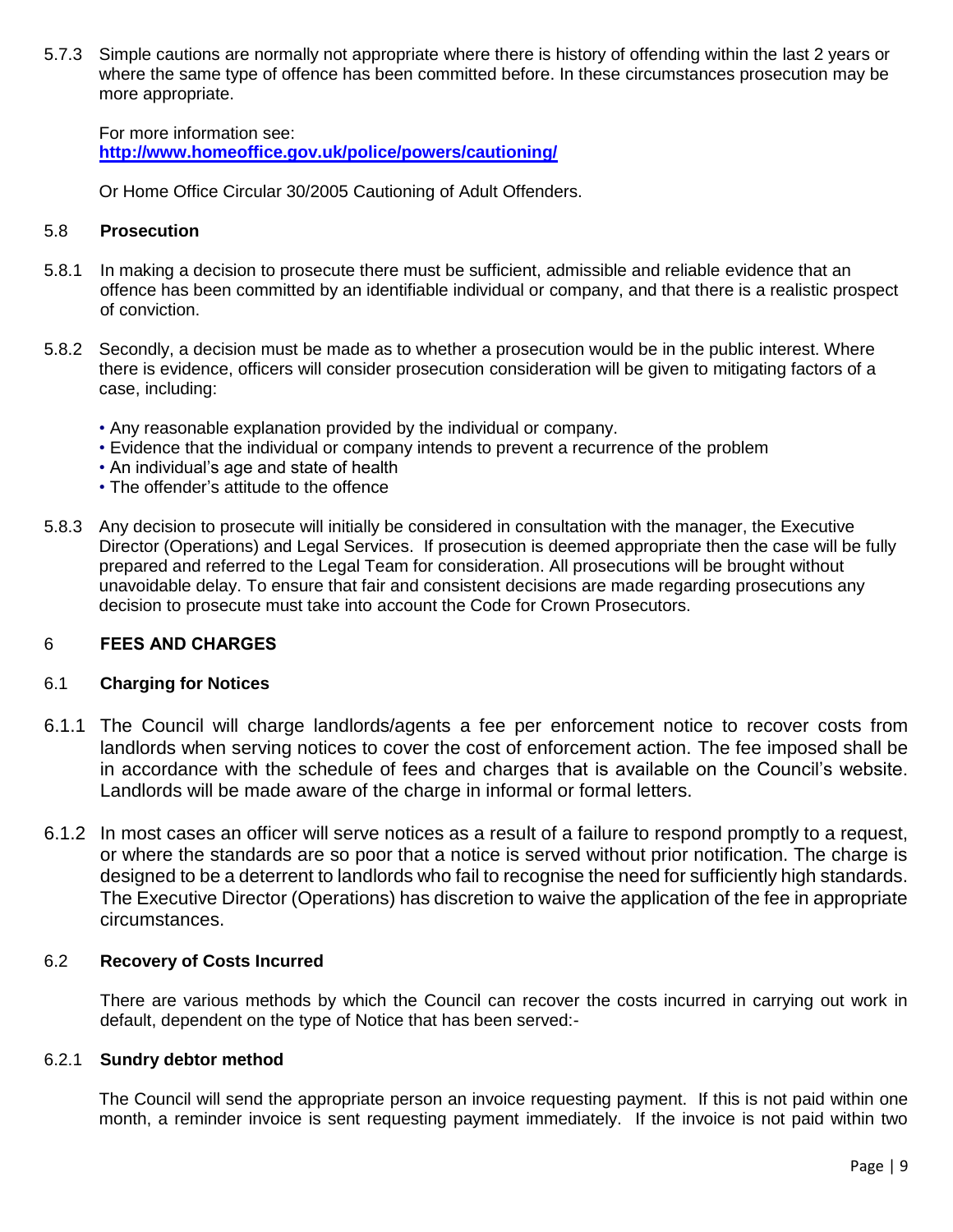5.7.3 Simple cautions are normally not appropriate where there is history of offending within the last 2 years or where the same type of offence has been committed before. In these circumstances prosecution may be more appropriate.

For more information see: **<http://www.homeoffice.gov.uk/police/powers/cautioning/>**

Or Home Office Circular 30/2005 Cautioning of Adult Offenders.

## 5.8 **Prosecution**

- 5.8.1 In making a decision to prosecute there must be sufficient, admissible and reliable evidence that an offence has been committed by an identifiable individual or company, and that there is a realistic prospect of conviction.
- 5.8.2 Secondly, a decision must be made as to whether a prosecution would be in the public interest. Where there is evidence, officers will consider prosecution consideration will be given to mitigating factors of a case, including:
	- Any reasonable explanation provided by the individual or company.
	- Evidence that the individual or company intends to prevent a recurrence of the problem
	- An individual's age and state of health
	- The offender's attitude to the offence
- 5.8.3 Any decision to prosecute will initially be considered in consultation with the manager, the Executive Director (Operations) and Legal Services. If prosecution is deemed appropriate then the case will be fully prepared and referred to the Legal Team for consideration. All prosecutions will be brought without unavoidable delay. To ensure that fair and consistent decisions are made regarding prosecutions any decision to prosecute must take into account the Code for Crown Prosecutors.

## 6 FEES AND CHARGES

#### 6.1 **Charging for Notices**

- 6.1.1 The Council will charge landlords/agents a fee per enforcement notice to recover costs from landlords when serving notices to cover the cost of enforcement action. The fee imposed shall be in accordance with the schedule of fees and charges that is available on the Council's website. Landlords will be made aware of the charge in informal or formal letters.
- 6.1.2 In most cases an officer will serve notices as a result of a failure to respond promptly to a request, or where the standards are so poor that a notice is served without prior notification. The charge is designed to be a deterrent to landlords who fail to recognise the need for sufficiently high standards. The Executive Director (Operations) has discretion to waive the application of the fee in appropriate circumstances.

#### 6.2 **Recovery of Costs Incurred**

There are various methods by which the Council can recover the costs incurred in carrying out work in default, dependent on the type of Notice that has been served:-

#### 6.2.1 **Sundry debtor method**

The Council will send the appropriate person an invoice requesting payment. If this is not paid within one month, a reminder invoice is sent requesting payment immediately. If the invoice is not paid within two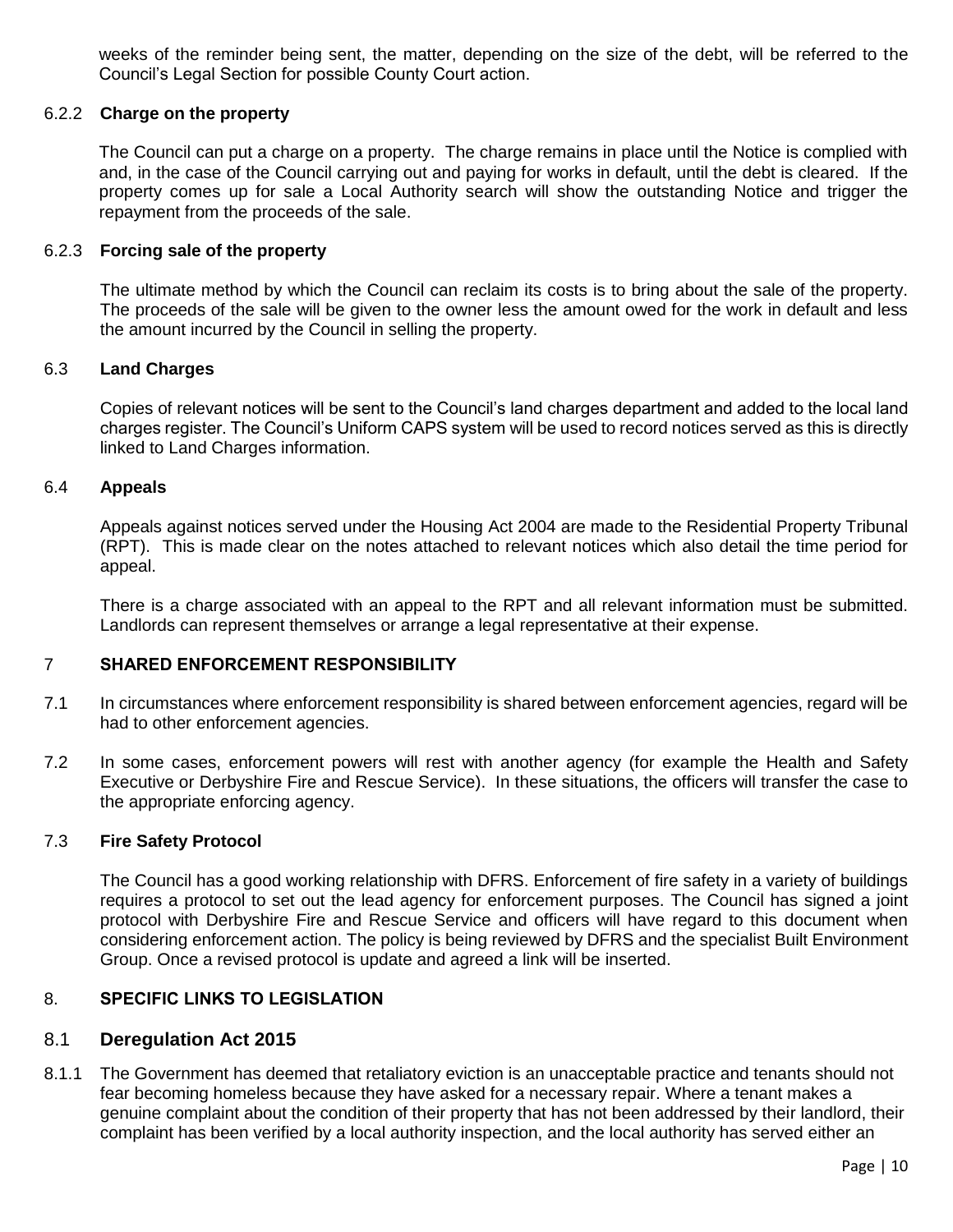weeks of the reminder being sent, the matter, depending on the size of the debt, will be referred to the Council's Legal Section for possible County Court action.

#### 6.2.2 **Charge on the property**

The Council can put a charge on a property. The charge remains in place until the Notice is complied with and, in the case of the Council carrying out and paying for works in default, until the debt is cleared. If the property comes up for sale a Local Authority search will show the outstanding Notice and trigger the repayment from the proceeds of the sale.

#### 6.2.3 **Forcing sale of the property**

The ultimate method by which the Council can reclaim its costs is to bring about the sale of the property. The proceeds of the sale will be given to the owner less the amount owed for the work in default and less the amount incurred by the Council in selling the property.

### 6.3 **Land Charges**

Copies of relevant notices will be sent to the Council's land charges department and added to the local land charges register. The Council's Uniform CAPS system will be used to record notices served as this is directly linked to Land Charges information.

## 6.4 **Appeals**

Appeals against notices served under the Housing Act 2004 are made to the Residential Property Tribunal (RPT). This is made clear on the notes attached to relevant notices which also detail the time period for appeal.

There is a charge associated with an appeal to the RPT and all relevant information must be submitted. Landlords can represent themselves or arrange a legal representative at their expense.

#### 7 SHARED ENFORCEMENT RESPONSIBILITY

- 7.1 In circumstances where enforcement responsibility is shared between enforcement agencies, regard will be had to other enforcement agencies.
- 7.2 In some cases, enforcement powers will rest with another agency (for example the Health and Safety Executive or Derbyshire Fire and Rescue Service). In these situations, the officers will transfer the case to the appropriate enforcing agency.

#### 7.3 **Fire Safety Protocol**

The Council has a good working relationship with DFRS. Enforcement of fire safety in a variety of buildings requires a protocol to set out the lead agency for enforcement purposes. The Council has signed a joint protocol with Derbyshire Fire and Rescue Service and officers will have regard to this document when considering enforcement action. The policy is being reviewed by DFRS and the specialist Built Environment Group. Once a revised protocol is update and agreed a link will be inserted.

## 8. SPECIFIC LINKS TO LEGISLATION

## 8.1 **Deregulation Act 2015**

8.1.1 The Government has deemed that retaliatory eviction is an unacceptable practice and tenants should not fear becoming homeless because they have asked for a necessary repair. Where a tenant makes a genuine complaint about the condition of their property that has not been addressed by their landlord, their complaint has been verified by a local authority inspection, and the local authority has served either an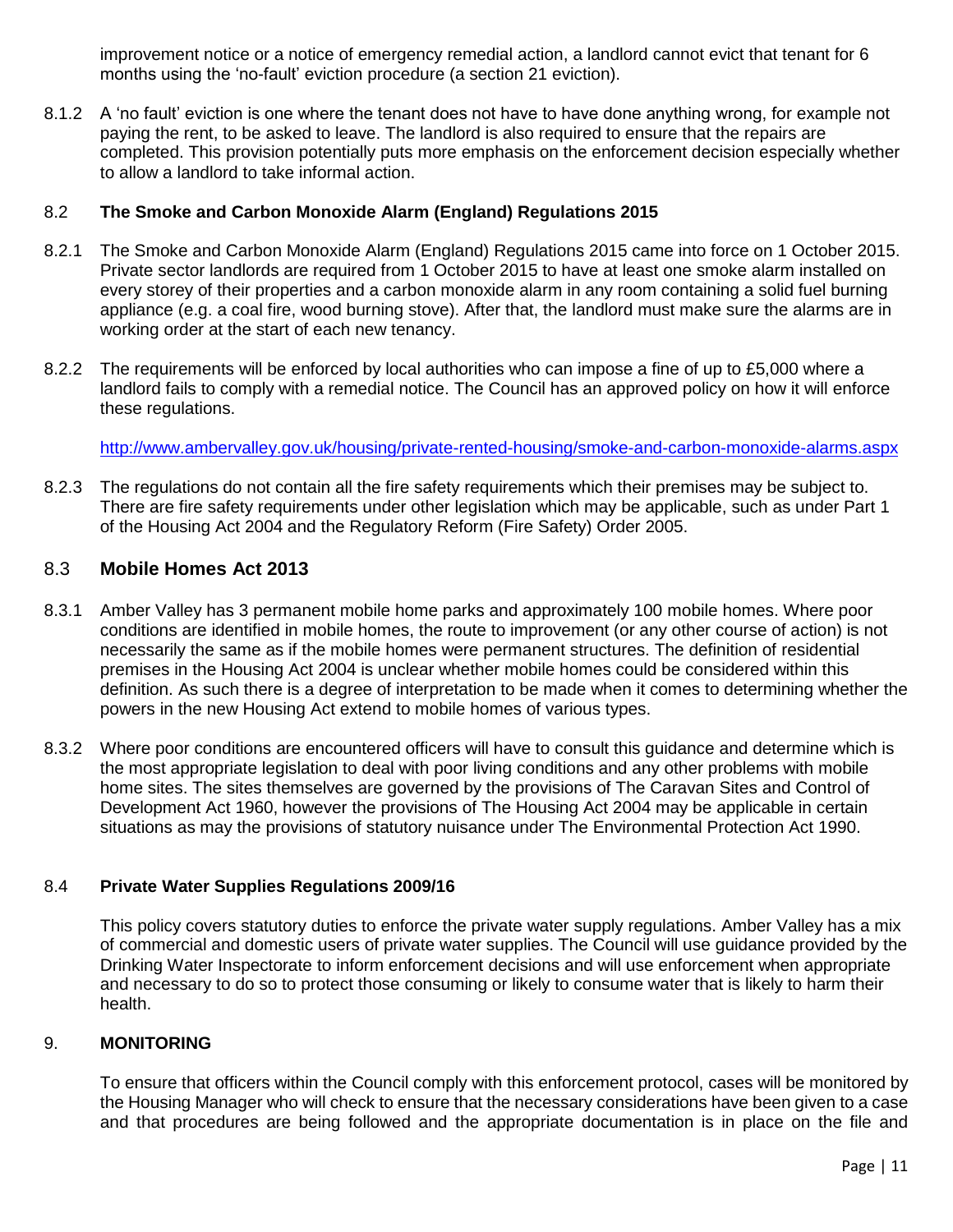improvement notice or a notice of emergency remedial action, a landlord cannot evict that tenant for 6 months using the 'no-fault' eviction procedure (a section 21 eviction).

8.1.2 A 'no fault' eviction is one where the tenant does not have to have done anything wrong, for example not paying the rent, to be asked to leave. The landlord is also required to ensure that the repairs are completed. This provision potentially puts more emphasis on the enforcement decision especially whether to allow a landlord to take informal action.

## 8.2 **The Smoke and Carbon Monoxide Alarm (England) Regulations 2015**

- 8.2.1 The Smoke and Carbon Monoxide Alarm (England) Regulations 2015 came into force on 1 October 2015. Private sector landlords are required from 1 October 2015 to have at least one smoke alarm installed on every storey of their properties and a carbon monoxide alarm in any room containing a solid fuel burning appliance (e.g. a coal fire, wood burning stove). After that, the landlord must make sure the alarms are in working order at the start of each new tenancy.
- 8.2.2 The requirements will be enforced by local authorities who can impose a fine of up to £5,000 where a landlord fails to comply with a remedial notice. The Council has an approved policy on how it will enforce these regulations.

<http://www.ambervalley.gov.uk/housing/private-rented-housing/smoke-and-carbon-monoxide-alarms.aspx>

8.2.3 The regulations do not contain all the fire safety requirements which their premises may be subject to. There are fire safety requirements under other legislation which may be applicable, such as under Part 1 of the Housing Act 2004 and the Regulatory Reform (Fire Safety) Order 2005.

## 8.3 **Mobile Homes Act 2013**

- 8.3.1 Amber Valley has 3 permanent mobile home parks and approximately 100 mobile homes. Where poor conditions are identified in mobile homes, the route to improvement (or any other course of action) is not necessarily the same as if the mobile homes were permanent structures. The definition of residential premises in the Housing Act 2004 is unclear whether mobile homes could be considered within this definition. As such there is a degree of interpretation to be made when it comes to determining whether the powers in the new Housing Act extend to mobile homes of various types.
- 8.3.2 Where poor conditions are encountered officers will have to consult this guidance and determine which is the most appropriate legislation to deal with poor living conditions and any other problems with mobile home sites. The sites themselves are governed by the provisions of The Caravan Sites and Control of Development Act 1960, however the provisions of The Housing Act 2004 may be applicable in certain situations as may the provisions of statutory nuisance under The Environmental Protection Act 1990.

## 8.4 **Private Water Supplies Regulations 2009/16**

This policy covers statutory duties to enforce the private water supply regulations. Amber Valley has a mix of commercial and domestic users of private water supplies. The Council will use guidance provided by the Drinking Water Inspectorate to inform enforcement decisions and will use enforcement when appropriate and necessary to do so to protect those consuming or likely to consume water that is likely to harm their health.

## 9. **MONITORING**

To ensure that officers within the Council comply with this enforcement protocol, cases will be monitored by the Housing Manager who will check to ensure that the necessary considerations have been given to a case and that procedures are being followed and the appropriate documentation is in place on the file and